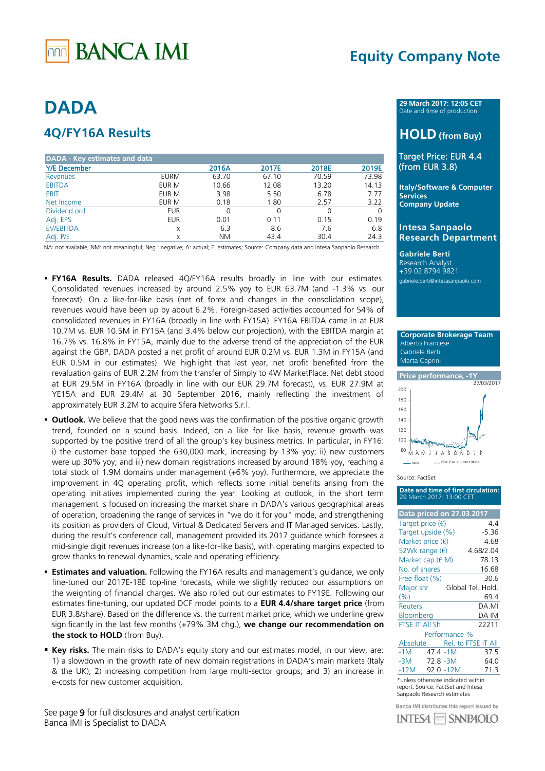# **BANCA IMI**

# **Equity Company Note**

# **DADA**

# **4Q/FY16A Results**

| <b>DADA - Key estimates and data</b> |             |           |       |       |          |
|--------------------------------------|-------------|-----------|-------|-------|----------|
| <b>Y/E</b> December                  |             | 2016A     | 2017E | 2018E | 2019E    |
| Revenues                             | <b>EURM</b> | 63.70     | 67.10 | 70.59 | 73.98    |
| <b>EBITDA</b>                        | EUR M       | 10.66     | 12.08 | 13.20 | 14.13    |
| <b>EBIT</b>                          | EUR M       | 3.98      | 5.50  | 6.78  | 7.77     |
| Net Income                           | EUR M       | 0.18      | 1.80  | 2.57  | 3.22     |
| Dividend ord.                        | <b>EUR</b>  | 0         | 0     |       | $\Omega$ |
| Adj. EPS                             | <b>EUR</b>  | 0.01      | 0.11  | 0.15  | 0.19     |
| <b>EV/EBITDA</b>                     | X           | 6.3       | 8.6   | 7.6   | 6.8      |
| Adj. P/E                             | X           | <b>NM</b> | 43.4  | 30.4  | 24.3     |

NA: not available; NM: not meaningful; Neg.: negative; A: actual; E: estimates; Source: Company data and Intesa Sanpaolo Research

- **FY16A Results.** DADA released 4Q/FY16A results broadly in line with our estimates. Consolidated revenues increased by around 2.5% yoy to EUR 63.7M (and -1.3% vs. our forecast). On a like-for-like basis (net of forex and changes in the consolidation scope), revenues would have been up by about 6.2%. Foreign-based activities accounted for 54% of consolidated revenues in FY16A (broadly in line with FY15A). FY16A EBITDA came in at EUR 10.7M vs. EUR 10.5M in FY15A (and 3.4% below our projection), with the EBITDA margin at 16.7% vs. 16.8% in FY15A, mainly due to the adverse trend of the appreciation of the EUR against the GBP. DADA posted a net profit of around EUR 0.2M vs. EUR 1.3M in FY15A (and EUR 0.5M in our estimates). We highlight that last year, net profit benefited from the revaluation gains of EUR 2.2M from the transfer of Simply to 4W MarketPlace. Net debt stood at EUR 29.5M in FY16A (broadly in line with our EUR 29.7M forecast), vs. EUR 27.9M at YE15A and EUR 29.4M at 30 September 2016, mainly reflecting the investment of approximately EUR 3.2M to acquire Sfera Networks S.r.l.
- **Dutlook.** We believe that the good news was the confirmation of the positive organic growth trend, founded on a sound basis. Indeed, on a like for like basis, revenue growth was supported by the positive trend of all the group's key business metrics. In particular, in FY16: i) the customer base topped the 630,000 mark, increasing by 13% yoy; ii) new customers were up 30% yoy; and iii) new domain registrations increased by around 18% yoy, reaching a total stock of 1.9M domains under management (+6% yoy). Furthermore, we appreciate the improvement in 4Q operating profit, which reflects some initial benefits arising from the operating initiatives implemented during the year. Looking at outlook, in the short term management is focused on increasing the market share in DADA's various geographical areas of operation, broadening the range of services in "we do it for you" mode, and strengthening its position as providers of Cloud, Virtual & Dedicated Servers and IT Managed services. Lastly, during the result's conference call, management provided its 2017 guidance which foresees a mid-single digit revenues increase (on a like-for-like basis), with operating margins expected to grow thanks to renewal dynamics, scale and operating efficiency.
- **Estimates and valuation.** Following the FY16A results and management's guidance, we only fine-tuned our 2017E-18E top-line forecasts, while we slightly reduced our assumptions on the weighting of financial charges. We also rolled out our estimates to FY19E. Following our estimates fine-tuning, our updated DCF model points to a **EUR 4.4/share target price** (from EUR 3.8/share). Based on the difference vs. the current market price, which we underline grew significantly in the last few months (+79% 3M chg.), **we change our recommendation on the stock to HOLD** (from Buy).
- **Key risks.** The main risks to DADA's equity story and our estimates model, in our view, are: 1) a slowdown in the growth rate of new domain registrations in DADA's main markets (Italy & the UK); 2) increasing competition from large multi-sector groups; and 3) an increase in e-costs for new customer acquisition.

See page 9 for full disclosures and analyst certification Banca IMI is Specialist to DADA

**29 March 2017: 12:05 CET** Date and time of production

# **HOLD (from Buy)**

## Target Price: EUR 4.4 (from EUR 3.8)

**Italy/Software & Computer Services Company Update**

I

### **Intesa Sanpaolo Research Department**

**Gabriele Berti** Research Analyst +39 02 8794 9821 gabriele.berti@intesasanpaolo.com

 **Corporate Brokerage Team** Alberto Francese Gabriele Berti Marta Caprini



Source: FactSet

| Date and time of first circulation:<br>29 March 2017: 13:00 CET                                         |                   |  |  |  |  |  |
|---------------------------------------------------------------------------------------------------------|-------------------|--|--|--|--|--|
| <b>Data priced on 27.03.2017</b>                                                                        |                   |  |  |  |  |  |
| Target price $(\epsilon)$                                                                               | 44                |  |  |  |  |  |
| Target upside (%)                                                                                       | $-5.36$           |  |  |  |  |  |
| Market price $(\epsilon)$                                                                               | 4.68              |  |  |  |  |  |
| 52Wk range $(\epsilon)$                                                                                 | 4.68/2.04         |  |  |  |  |  |
| Market cap $(\in M)$                                                                                    | 78.13             |  |  |  |  |  |
| No. of shares                                                                                           | 16.68             |  |  |  |  |  |
| Free float (%)                                                                                          | 30.6              |  |  |  |  |  |
| Major shr                                                                                               | Global Tel. Hold. |  |  |  |  |  |
| (%)                                                                                                     | 69.4              |  |  |  |  |  |
| <b>Reuters</b>                                                                                          | DA.MI             |  |  |  |  |  |
| Bloomberg                                                                                               | DA IM             |  |  |  |  |  |
| <b>FTSE IT All Sh</b>                                                                                   | 22211             |  |  |  |  |  |
| Performance %                                                                                           |                   |  |  |  |  |  |
| Absolute Rel. to FTSE IT All                                                                            |                   |  |  |  |  |  |
| 47.4 -1M<br>$-1M$                                                                                       | 375               |  |  |  |  |  |
| -3M<br>72.8 -3M                                                                                         | 64.0              |  |  |  |  |  |
| $-12M$ 92.0 $-12M$                                                                                      | 71.3              |  |  |  |  |  |
| *unless otherwise indicated within<br>report. Source: FactSet and Intesa<br>Sanpaolo Research estimates |                   |  |  |  |  |  |

Banca IMI distributes this report issued by **INTESA FOR SANPAOLO**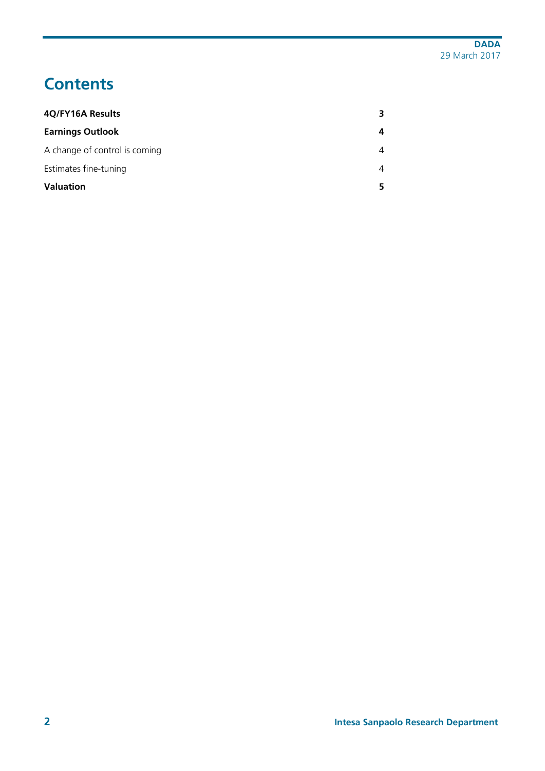# **Contents**

| 4Q/FY16A Results              | З |
|-------------------------------|---|
| <b>Earnings Outlook</b>       | 4 |
| A change of control is coming | 4 |
| Estimates fine-tuning         | 4 |
| <b>Valuation</b>              |   |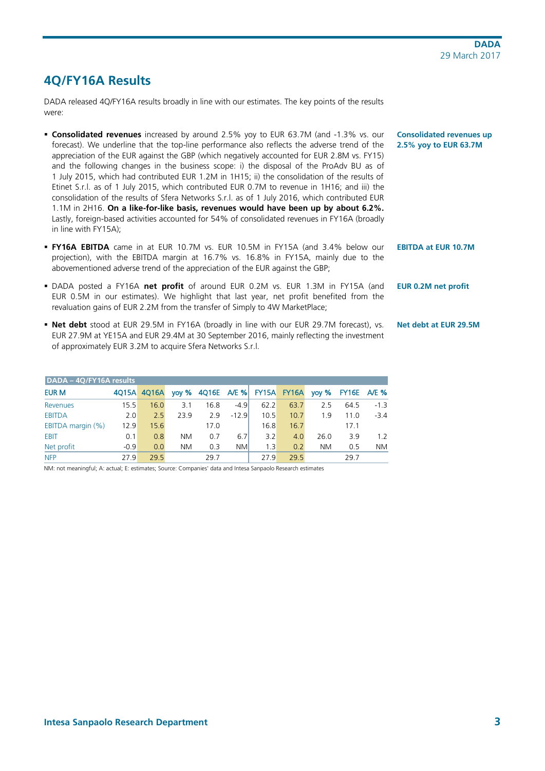# <span id="page-2-0"></span>**4Q/FY16A Results**

DADA released 4Q/FY16A results broadly in line with our estimates. The key points of the results were:

- **Consolidated revenues** increased by around 2.5% yoy to EUR 63.7M (and -1.3% vs. our forecast). We underline that the top-line performance also reflects the adverse trend of the appreciation of the EUR against the GBP (which negatively accounted for EUR 2.8M vs. FY15) and the following changes in the business scope: i) the disposal of the ProAdv BU as of 1 July 2015, which had contributed EUR 1.2M in 1H15; ii) the consolidation of the results of Etinet S.r.l. as of 1 July 2015, which contributed EUR 0.7M to revenue in 1H16; and iii) the consolidation of the results of Sfera Networks S.r.l. as of 1 July 2016, which contributed EUR 1.1M in 2H16. **On a like-for-like basis, revenues would have been up by about 6.2%.**  Lastly, foreign-based activities accounted for 54% of consolidated revenues in FY16A (broadly in line with FY15A);
- **FY16A EBITDA** came in at EUR 10.7M vs. EUR 10.5M in FY15A (and 3.4% below our projection), with the EBITDA margin at 16.7% vs. 16.8% in FY15A, mainly due to the abovementioned adverse trend of the appreciation of the EUR against the GBP;
- DADA posted a FY16A **net profit** of around EUR 0.2M vs. EUR 1.3M in FY15A (and EUR 0.5M in our estimates). We highlight that last year, net profit benefited from the revaluation gains of EUR 2.2M from the transfer of Simply to 4W MarketPlace;
- **Net debt** stood at EUR 29.5M in FY16A (broadly in line with our EUR 29.7M forecast), vs. EUR 27.9M at YE15A and EUR 29.4M at 30 September 2016, mainly reflecting the investment of approximately EUR 3.2M to acquire Sfera Networks S.r.l.

| DADA - 4Q/FY16A results |        |       |           |                               |           |      |      |           |                 |                    |
|-------------------------|--------|-------|-----------|-------------------------------|-----------|------|------|-----------|-----------------|--------------------|
| <b>EUR M</b>            | 4015A  | 4016A |           | yoy % 4Q16E A/E % FY15A FY16A |           |      |      | $yoy \%$  |                 | <b>FY16E</b> A/E % |
| Revenues                | 15.5   | 16.0  | 3.1       | 16.8                          | $-4.9$    | 62.2 | 63.7 | 25        | 64.5            | $-1.3$             |
| <b>EBITDA</b>           | 2.0    | 2.5   | 23.9      | 2.9                           | $-12.9$   | 10.5 | 10.7 | 1.9       | 11 <sub>0</sub> | $-3.4$             |
| EBITDA margin (%)       | 12.9   | 15.6  |           | 17.0                          |           | 16.8 | 16.7 |           | 17.1            |                    |
| <b>EBIT</b>             | 0.1    | 0.8   | ΝM        | 0.7                           | 6.7       | 3.2  | 4.0  | 26.0      | 3.9             | 1.2                |
| Net profit              | $-0.9$ | 0.0   | <b>NM</b> | 0.3                           | <b>NM</b> | 1.3  | 0.2  | <b>NM</b> | 0.5             | NM.                |
| <b>NFP</b>              | 27 9   | 295   |           | 29.7                          |           | 27.9 | 29.5 |           | 29.7            |                    |

NM: not meaningful; A: actual; E: estimates; Source: Companies' data and Intesa Sanpaolo Research estimates

**Consolidated revenues up 2.5% yoy to EUR 63.7M**

**EBITDA at EUR 10.7M**

**EUR 0.2M net profit**

## **Net debt at EUR 29.5M**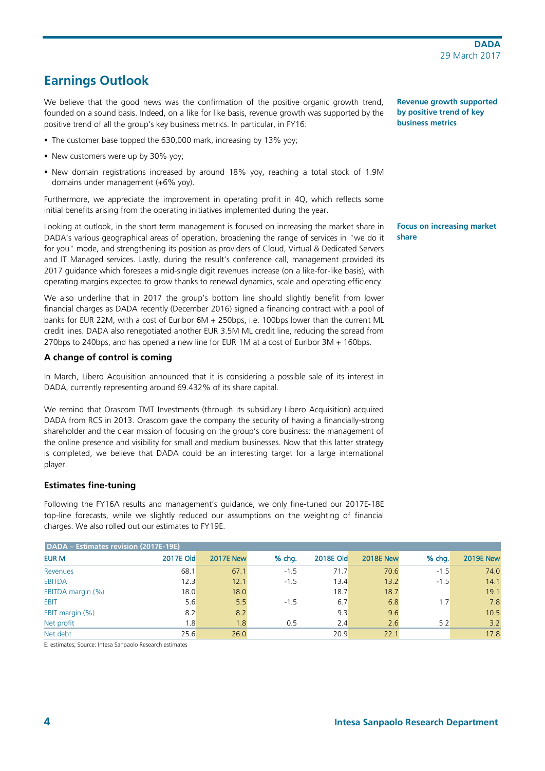# <span id="page-3-0"></span>**Earnings Outlook**

We believe that the good news was the confirmation of the positive organic growth trend, founded on a sound basis. Indeed, on a like for like basis, revenue growth was supported by the positive trend of all the group's key business metrics. In particular, in FY16:

- The customer base topped the 630,000 mark, increasing by 13% yoy;
- New customers were up by 30% yoy;
- New domain registrations increased by around 18% yoy, reaching a total stock of 1.9M domains under management (+6% yoy).

Furthermore, we appreciate the improvement in operating profit in 4Q, which reflects some initial benefits arising from the operating initiatives implemented during the year.

Looking at outlook, in the short term management is focused on increasing the market share in DADA's various geographical areas of operation, broadening the range of services in "we do it for you" mode, and strengthening its position as providers of Cloud, Virtual & Dedicated Servers and IT Managed services. Lastly, during the result's conference call, management provided its 2017 guidance which foresees a mid-single digit revenues increase (on a like-for-like basis), with operating margins expected to grow thanks to renewal dynamics, scale and operating efficiency.

We also underline that in 2017 the group's bottom line should slightly benefit from lower financial charges as DADA recently (December 2016) signed a financing contract with a pool of banks for EUR 22M, with a cost of Euribor 6M + 250bps, i.e. 100bps lower than the current ML credit lines. DADA also renegotiated another EUR 3.5M ML credit line, reducing the spread from 270bps to 240bps, and has opened a new line for EUR 1M at a cost of Euribor 3M + 160bps.

## <span id="page-3-1"></span>**A change of control is coming**

In March, Libero Acquisition announced that it is considering a possible sale of its interest in DADA, currently representing around 69.432% of its share capital.

We remind that Orascom TMT Investments (through its subsidiary Libero Acquisition) acquired DADA from RCS in 2013. Orascom gave the company the security of having a financially-strong shareholder and the clear mission of focusing on the group's core business: the management of the online presence and visibility for small and medium businesses. Now that this latter strategy is completed, we believe that DADA could be an interesting target for a large international player.

## <span id="page-3-2"></span>**Estimates fine-tuning**

Following the FY16A results and management's guidance, we only fine-tuned our 2017E-18E top-line forecasts, while we slightly reduced our assumptions on the weighting of financial charges. We also rolled out our estimates to FY19E.

| DADA – Estimates revision (2017E-19E) |                  |                  |          |                  |                  |        |                  |  |  |
|---------------------------------------|------------------|------------------|----------|------------------|------------------|--------|------------------|--|--|
| <b>EUR M</b>                          | <b>2017E Old</b> | <b>2017E New</b> | $%$ chg. | <b>2018E Old</b> | <b>2018E New</b> | % chg. | <b>2019E New</b> |  |  |
| Revenues                              | 68.1             | 67.1             | $-1.5$   | 71.7             | 70.6             | $-1.5$ | 74.0             |  |  |
| <b>EBITDA</b>                         | 12.3             | 12.1             | $-1.5$   | 13.4             | 13.2             | $-1.5$ | 14.1             |  |  |
| EBITDA margin (%)                     | 18.0             | 18.0             |          | 18.7             | 18.7             |        | 19.1             |  |  |
| <b>EBIT</b>                           | 5.6              | 5.5              | $-1.5$   | 6.7              | 6.8              | 1.7    | 7.8              |  |  |
| EBIT margin (%)                       | 8.2              | 8.2              |          | 9.3              | 9.6              |        | 10.5             |  |  |
| Net profit                            | 1.8              | 1.8              | 0.5      | 2.4              | 2.6              | 5.2    | 3.2              |  |  |
| Net debt                              | 25.6             | 26.0             |          | 20.9             | 22.1             |        | 17.8             |  |  |

E: estimates; Source: Intesa Sanpaolo Research estimates

**Revenue growth supported by positive trend of key business metrics**

**Focus on increasing market share**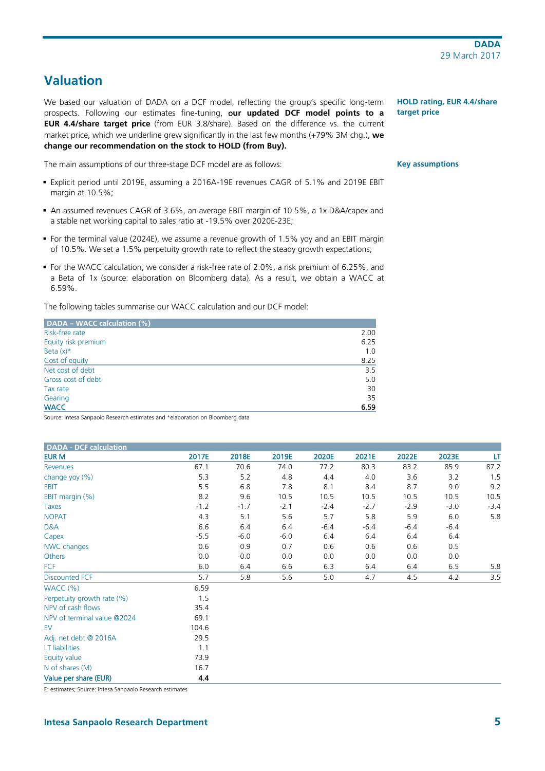# <span id="page-4-0"></span>**Valuation**

We based our valuation of DADA on a DCF model, reflecting the group's specific long-term prospects. Following our estimates fine-tuning, o**ur updated DCF model points to a EUR 4.4/share target price** (from EUR 3.8/share). Based on the difference vs. the current market price, which we underline grew significantly in the last few months (+79% 3M chg.), **we change our recommendation on the stock to HOLD (from Buy).**

The main assumptions of our three-stage DCF model are as follows:

- Explicit period until 2019E, assuming a 2016A-19E revenues CAGR of 5.1% and 2019E EBIT margin at 10.5%;
- An assumed revenues CAGR of 3.6%, an average EBIT margin of 10.5%, a 1x D&A/capex and a stable net working capital to sales ratio at -19.5% over 2020E-23E;
- For the terminal value (2024E), we assume a revenue growth of 1.5% yoy and an EBIT margin of 10.5%. We set a 1.5% perpetuity growth rate to reflect the steady growth expectations;
- For the WACC calculation, we consider a risk-free rate of 2.0%, a risk premium of 6.25%, and a Beta of 1x (source: elaboration on Bloomberg data). As a result, we obtain a WACC at 6.59%.

The following tables summarise our WACC calculation and our DCF model:

| DADA - WACC calculation (%) |      |
|-----------------------------|------|
| Risk-free rate              | 2.00 |
| Equity risk premium         | 6.25 |
| Beta $(x)$ *                | 1.0  |
| Cost of equity              | 8.25 |
| Net cost of debt            | 3.5  |
| Gross cost of debt          | 5.0  |
| Tax rate                    | 30   |
| Gearing                     | 35   |
| <b>WACC</b>                 | 6.59 |

Source: Intesa Sanpaolo Research estimates and \*elaboration on Bloomberg data

| DADA - DCF calculation      |        |        |        |        |        |        |        |        |
|-----------------------------|--------|--------|--------|--------|--------|--------|--------|--------|
| <b>EUR M</b>                | 2017E  | 2018E  | 2019E  | 2020E  | 2021E  | 2022E  | 2023E  | LT     |
| Revenues                    | 67.1   | 70.6   | 74.0   | 77.2   | 80.3   | 83.2   | 85.9   | 87.2   |
| change yoy (%)              | 5.3    | 5.2    | 4.8    | 4.4    | 4.0    | 3.6    | 3.2    | 1.5    |
| <b>EBIT</b>                 | 5.5    | 6.8    | 7.8    | 8.1    | 8.4    | 8.7    | 9.0    | 9.2    |
| EBIT margin (%)             | 8.2    | 9.6    | 10.5   | 10.5   | 10.5   | 10.5   | 10.5   | 10.5   |
| Taxes                       | $-1.2$ | $-1.7$ | $-2.1$ | $-2.4$ | $-2.7$ | $-2.9$ | $-3.0$ | $-3.4$ |
| <b>NOPAT</b>                | 4.3    | 5.1    | 5.6    | 5.7    | 5.8    | 5.9    | 6.0    | 5.8    |
| D&A                         | 6.6    | 6.4    | 6.4    | $-6.4$ | $-6.4$ | $-6.4$ | $-6.4$ |        |
| Capex                       | $-5.5$ | $-6.0$ | $-6.0$ | 6.4    | 6.4    | 6.4    | 6.4    |        |
| NWC changes                 | 0.6    | 0.9    | 0.7    | 0.6    | 0.6    | 0.6    | 0.5    |        |
| Others                      | 0.0    | 0.0    | 0.0    | 0.0    | 0.0    | 0.0    | 0.0    |        |
| <b>FCF</b>                  | 6.0    | 6.4    | 6.6    | 6.3    | 6.4    | 6.4    | 6.5    | 5.8    |
| <b>Discounted FCF</b>       | 5.7    | 5.8    | 5.6    | 5.0    | 4.7    | 4.5    | 4.2    | 3.5    |
| WACC(%)                     | 6.59   |        |        |        |        |        |        |        |
| Perpetuity growth rate (%)  | 1.5    |        |        |        |        |        |        |        |
| NPV of cash flows           | 35.4   |        |        |        |        |        |        |        |
| NPV of terminal value @2024 | 69.1   |        |        |        |        |        |        |        |
| EV                          | 104.6  |        |        |        |        |        |        |        |
| Adj. net debt @ 2016A       | 29.5   |        |        |        |        |        |        |        |
| LT liabilities              | 1.1    |        |        |        |        |        |        |        |
| Equity value                | 73.9   |        |        |        |        |        |        |        |
| N of shares (M)             | 16.7   |        |        |        |        |        |        |        |
| Value per share (EUR)       | 4.4    |        |        |        |        |        |        |        |

E: estimates; Source: Intesa Sanpaolo Research estimates

# **HOLD rating, EUR 4.4/share target price**

#### **Key assumptions**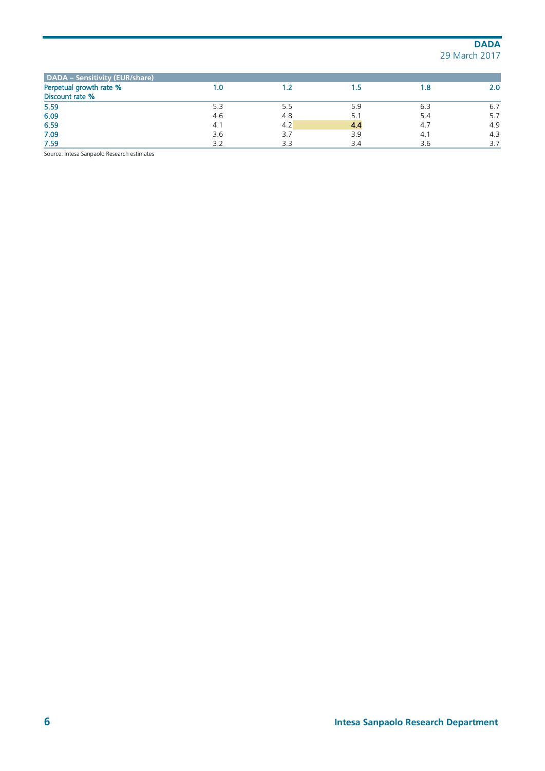| DADA - Sensitivity (EUR/share)             |     |     |     |     |     |
|--------------------------------------------|-----|-----|-----|-----|-----|
| Perpetual growth rate %<br>Discount rate % | 1.0 |     |     | 1.8 | 2.0 |
| 5.59                                       | 5.3 | 5.5 | 5.9 | 6.3 | 6.7 |
| 6.09                                       | 4.6 | 4.8 |     | 5.4 | 5.7 |
| 6.59                                       | 4.1 | 4.2 |     | 4.7 | 4.9 |
| 7.09                                       | 3.6 | 3.7 | 3.9 | 4.1 | 4.3 |
| 7.59                                       | 3.2 | 3.3 | 3.4 | 3.6 | 3.7 |

Source: Intesa Sanpaolo Research estimates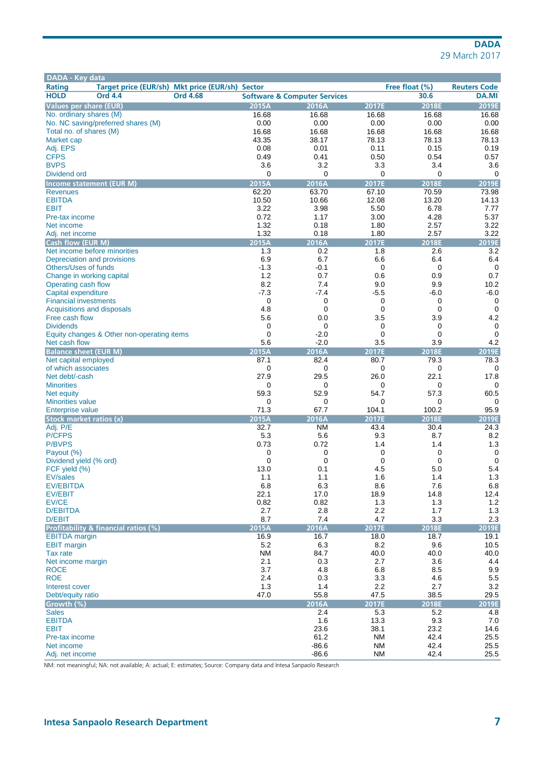| Target price (EUR/sh) Mkt price (EUR/sh) Sector<br>Free float (%)<br><b>Reuters Code</b><br>30.6<br><b>Ord 4.4</b><br><b>Ord 4.68</b><br><b>Software &amp; Computer Services</b><br><b>DA.MI</b><br>2015A<br>2016A<br>2018E<br>2019E<br><b>Values per share (EUR)</b><br>2017E<br>16.68<br>No. ordinary shares (M)<br>16.68<br>16.68<br>16.68<br>16.68<br>No. NC saving/preferred shares (M)<br>0.00<br>0.00<br>0.00<br>0.00<br>0.00<br>16.68<br>16.68<br>16.68<br>16.68<br>16.68<br>Total no. of shares (M)<br>43.35<br>38.17<br>78.13<br>78.13<br>78.13<br>Market cap<br>Adj. EPS<br>0.08<br>0.01<br>0.11<br>0.15<br>0.19<br><b>CFPS</b><br>0.49<br>0.41<br>0.50<br>0.54<br>0.57<br><b>BVPS</b><br>3.6<br>3.2<br>3.3<br>3.4<br>3.6<br>Dividend ord<br>0<br>0<br>0<br>0<br>0<br>2015A<br>2016A<br>2017E<br>2019E<br>Income statement (EUR M)<br>2018E<br>62.20<br>63.70<br>67.10<br>70.59<br>73.98<br><b>Revenues</b><br>10.50<br><b>EBITDA</b><br>10.66<br>12.08<br>13.20<br>14.13<br>3.22<br>3.98<br>5.50<br><b>EBIT</b><br>6.78<br>7.77<br>0.72<br>4.28<br>5.37<br>1.17<br>3.00<br>Pre-tax income<br>1.32<br>0.18<br>2.57<br>3.22<br>Net income<br>1.80<br>1.32<br>3.22<br>0.18<br>1.80<br>2.57<br>Adj. net income<br>2015A<br>2016A<br>2017E<br>2018E<br>2019E<br><b>Cash flow (EUR M)</b><br>Net income before minorities<br>1.3<br>0.2<br>1.8<br>2.6<br>3.2<br>6.7<br>6.6<br>6.9<br>6.4<br>6.4<br>Depreciation and provisions<br>$-1.3$<br>$-0.1$<br>0<br>0<br>0<br>Others/Uses of funds<br>1.2<br>0.7<br>Change in working capital<br>0.6<br>0.9<br>0.7<br>8.2<br>7.4<br>9.0<br>9.9<br>10.2<br>Operating cash flow<br>$-7.3$<br>$-7.4$<br>$-5.5$<br>$-6.0$<br>Capital expenditure<br>-6.0<br>0<br>0<br><b>Financial investments</b><br>0<br>0<br>0<br>Acquisitions and disposals<br>4.8<br>0<br>0<br>0<br>0<br>3.5<br>4.2<br>Free cash flow<br>5.6<br>0.0<br>3.9<br>0<br>0<br>0<br>0<br><b>Dividends</b><br>0<br>$\mathbf 0$<br>$-2.0$<br>0<br>$\mathbf 0$<br>$\mathbf 0$<br>Equity changes & Other non-operating items<br>5.6<br>$-2.0$<br>3.5<br>3.9<br>4.2<br>Net cash flow<br>2015A<br>2016A<br><b>Balance sheet (EUR M)</b><br>2017E<br>2018E<br>2019E<br>82.4<br>78.3<br>Net capital employed<br>87.1<br>80.7<br>79.3<br>0<br>0<br>0<br>0<br>0<br>Net debt/-cash<br>27.9<br>29.5<br>26.0<br>22.1<br>17.8<br>0<br>0<br>0<br>0<br>0<br>59.3<br>52.9<br>54.7<br>57.3<br>60.5<br>0<br>0<br>0<br>0<br>0<br>71.3<br>67.7<br>104.1<br>100.2<br>95.9<br><b>Enterprise value</b><br>2015A<br>2016A<br>2017E<br>2018E<br>2019E<br>Adj. P/E<br>32.7<br><b>NM</b><br>43.4<br>30.4<br>24.3<br><b>P/CFPS</b><br>5.3<br>5.6<br>9.3<br>8.7<br>8.2<br>0.73<br>0.72<br>1.4<br>1.4<br>1.3<br>0<br>0<br>0<br>$\mathbf 0$<br>0<br>Payout (%)<br>0<br>0<br>0<br>$\mathbf 0$<br>$\mathbf 0$<br>Dividend yield (% ord)<br>FCF yield (%)<br>13.0<br>0.1<br>4.5<br>5.0<br>5.4<br><b>EV/sales</b><br>1.1<br>1.6<br>1.3<br>1.1<br>1.4<br>8.6<br><b>EV/EBITDA</b><br>6.8<br>6.3<br>$7.6$<br>$6.8\,$<br>22.1<br>17.0<br>14.8<br>12.4<br>18.9<br>0.82<br>0.82<br>EV/CE<br>1.3<br>1.3<br>1.2<br>2.7<br>2.8<br>2.2<br>1.3<br>1.7<br>8.7<br>7.4<br>3.3<br>4.7<br>2.3<br>D/EBIT<br>2015A<br>2016A<br>2017E<br>2018E<br>2019E<br>16.7<br>16.9<br>18.0<br>18.7<br>19.1<br>5.2<br>6.3<br>8.2<br>9.6<br>10.5<br>84.7<br>40.0<br><b>NM</b><br>40.0<br>40.0<br>Tax rate<br>2.1<br>0.3<br>2.7<br>3.6<br>4.4<br>3.7<br>4.8<br>6.8<br>8.5<br>9.9<br><b>ROCE</b><br><b>ROE</b><br>2.4<br>3.3<br>4.6<br>5.5<br>0.3<br>1.3<br>1.4<br>2.2<br>3.2<br>Interest cover<br>2.7<br>47.0<br>55.8<br>29.5<br>47.5<br>38.5<br>2017E<br>2016A<br>2018E<br>2019E<br>5.2<br>2.4<br>5.3<br>4.8<br>9.3<br>1.6<br>13.3<br>7.0<br>23.6<br>23.2<br>14.6<br>38.1<br>61.2<br><b>NM</b><br>42.4<br>25.5<br>Pre-tax income<br>$-86.6$<br>25.5<br><b>NM</b><br>42.4<br>25.5<br>$-86.6$<br><b>NM</b><br>42.4 | DADA - Key data                      |  |  |  |
|-----------------------------------------------------------------------------------------------------------------------------------------------------------------------------------------------------------------------------------------------------------------------------------------------------------------------------------------------------------------------------------------------------------------------------------------------------------------------------------------------------------------------------------------------------------------------------------------------------------------------------------------------------------------------------------------------------------------------------------------------------------------------------------------------------------------------------------------------------------------------------------------------------------------------------------------------------------------------------------------------------------------------------------------------------------------------------------------------------------------------------------------------------------------------------------------------------------------------------------------------------------------------------------------------------------------------------------------------------------------------------------------------------------------------------------------------------------------------------------------------------------------------------------------------------------------------------------------------------------------------------------------------------------------------------------------------------------------------------------------------------------------------------------------------------------------------------------------------------------------------------------------------------------------------------------------------------------------------------------------------------------------------------------------------------------------------------------------------------------------------------------------------------------------------------------------------------------------------------------------------------------------------------------------------------------------------------------------------------------------------------------------------------------------------------------------------------------------------------------------------------------------------------------------------------------------------------------------------------------------------------------------------------------------------------------------------------------------------------------------------------------------------------------------------------------------------------------------------------------------------------------------------------------------------------------------------------------------------------------------------------------------------------------------------------------------------------------------------------------------------------------------------------------------------------------------------------------------------------------------------------------------------------------------------------------------------------------------------------------------------------------------------------------------------------------------------------------------------------------------------------------------------------------------------------------------------------------------------------------------------------------------------------------------------------------------------------------------------------------------------------------------------------------------------------------------------------------------------------|--------------------------------------|--|--|--|
|                                                                                                                                                                                                                                                                                                                                                                                                                                                                                                                                                                                                                                                                                                                                                                                                                                                                                                                                                                                                                                                                                                                                                                                                                                                                                                                                                                                                                                                                                                                                                                                                                                                                                                                                                                                                                                                                                                                                                                                                                                                                                                                                                                                                                                                                                                                                                                                                                                                                                                                                                                                                                                                                                                                                                                                                                                                                                                                                                                                                                                                                                                                                                                                                                                                                                                                                                                                                                                                                                                                                                                                                                                                                                                                                                                                                                                                     | <b>Rating</b>                        |  |  |  |
|                                                                                                                                                                                                                                                                                                                                                                                                                                                                                                                                                                                                                                                                                                                                                                                                                                                                                                                                                                                                                                                                                                                                                                                                                                                                                                                                                                                                                                                                                                                                                                                                                                                                                                                                                                                                                                                                                                                                                                                                                                                                                                                                                                                                                                                                                                                                                                                                                                                                                                                                                                                                                                                                                                                                                                                                                                                                                                                                                                                                                                                                                                                                                                                                                                                                                                                                                                                                                                                                                                                                                                                                                                                                                                                                                                                                                                                     | <b>HOLD</b>                          |  |  |  |
|                                                                                                                                                                                                                                                                                                                                                                                                                                                                                                                                                                                                                                                                                                                                                                                                                                                                                                                                                                                                                                                                                                                                                                                                                                                                                                                                                                                                                                                                                                                                                                                                                                                                                                                                                                                                                                                                                                                                                                                                                                                                                                                                                                                                                                                                                                                                                                                                                                                                                                                                                                                                                                                                                                                                                                                                                                                                                                                                                                                                                                                                                                                                                                                                                                                                                                                                                                                                                                                                                                                                                                                                                                                                                                                                                                                                                                                     |                                      |  |  |  |
|                                                                                                                                                                                                                                                                                                                                                                                                                                                                                                                                                                                                                                                                                                                                                                                                                                                                                                                                                                                                                                                                                                                                                                                                                                                                                                                                                                                                                                                                                                                                                                                                                                                                                                                                                                                                                                                                                                                                                                                                                                                                                                                                                                                                                                                                                                                                                                                                                                                                                                                                                                                                                                                                                                                                                                                                                                                                                                                                                                                                                                                                                                                                                                                                                                                                                                                                                                                                                                                                                                                                                                                                                                                                                                                                                                                                                                                     |                                      |  |  |  |
|                                                                                                                                                                                                                                                                                                                                                                                                                                                                                                                                                                                                                                                                                                                                                                                                                                                                                                                                                                                                                                                                                                                                                                                                                                                                                                                                                                                                                                                                                                                                                                                                                                                                                                                                                                                                                                                                                                                                                                                                                                                                                                                                                                                                                                                                                                                                                                                                                                                                                                                                                                                                                                                                                                                                                                                                                                                                                                                                                                                                                                                                                                                                                                                                                                                                                                                                                                                                                                                                                                                                                                                                                                                                                                                                                                                                                                                     |                                      |  |  |  |
|                                                                                                                                                                                                                                                                                                                                                                                                                                                                                                                                                                                                                                                                                                                                                                                                                                                                                                                                                                                                                                                                                                                                                                                                                                                                                                                                                                                                                                                                                                                                                                                                                                                                                                                                                                                                                                                                                                                                                                                                                                                                                                                                                                                                                                                                                                                                                                                                                                                                                                                                                                                                                                                                                                                                                                                                                                                                                                                                                                                                                                                                                                                                                                                                                                                                                                                                                                                                                                                                                                                                                                                                                                                                                                                                                                                                                                                     |                                      |  |  |  |
|                                                                                                                                                                                                                                                                                                                                                                                                                                                                                                                                                                                                                                                                                                                                                                                                                                                                                                                                                                                                                                                                                                                                                                                                                                                                                                                                                                                                                                                                                                                                                                                                                                                                                                                                                                                                                                                                                                                                                                                                                                                                                                                                                                                                                                                                                                                                                                                                                                                                                                                                                                                                                                                                                                                                                                                                                                                                                                                                                                                                                                                                                                                                                                                                                                                                                                                                                                                                                                                                                                                                                                                                                                                                                                                                                                                                                                                     |                                      |  |  |  |
|                                                                                                                                                                                                                                                                                                                                                                                                                                                                                                                                                                                                                                                                                                                                                                                                                                                                                                                                                                                                                                                                                                                                                                                                                                                                                                                                                                                                                                                                                                                                                                                                                                                                                                                                                                                                                                                                                                                                                                                                                                                                                                                                                                                                                                                                                                                                                                                                                                                                                                                                                                                                                                                                                                                                                                                                                                                                                                                                                                                                                                                                                                                                                                                                                                                                                                                                                                                                                                                                                                                                                                                                                                                                                                                                                                                                                                                     |                                      |  |  |  |
|                                                                                                                                                                                                                                                                                                                                                                                                                                                                                                                                                                                                                                                                                                                                                                                                                                                                                                                                                                                                                                                                                                                                                                                                                                                                                                                                                                                                                                                                                                                                                                                                                                                                                                                                                                                                                                                                                                                                                                                                                                                                                                                                                                                                                                                                                                                                                                                                                                                                                                                                                                                                                                                                                                                                                                                                                                                                                                                                                                                                                                                                                                                                                                                                                                                                                                                                                                                                                                                                                                                                                                                                                                                                                                                                                                                                                                                     |                                      |  |  |  |
|                                                                                                                                                                                                                                                                                                                                                                                                                                                                                                                                                                                                                                                                                                                                                                                                                                                                                                                                                                                                                                                                                                                                                                                                                                                                                                                                                                                                                                                                                                                                                                                                                                                                                                                                                                                                                                                                                                                                                                                                                                                                                                                                                                                                                                                                                                                                                                                                                                                                                                                                                                                                                                                                                                                                                                                                                                                                                                                                                                                                                                                                                                                                                                                                                                                                                                                                                                                                                                                                                                                                                                                                                                                                                                                                                                                                                                                     |                                      |  |  |  |
|                                                                                                                                                                                                                                                                                                                                                                                                                                                                                                                                                                                                                                                                                                                                                                                                                                                                                                                                                                                                                                                                                                                                                                                                                                                                                                                                                                                                                                                                                                                                                                                                                                                                                                                                                                                                                                                                                                                                                                                                                                                                                                                                                                                                                                                                                                                                                                                                                                                                                                                                                                                                                                                                                                                                                                                                                                                                                                                                                                                                                                                                                                                                                                                                                                                                                                                                                                                                                                                                                                                                                                                                                                                                                                                                                                                                                                                     |                                      |  |  |  |
|                                                                                                                                                                                                                                                                                                                                                                                                                                                                                                                                                                                                                                                                                                                                                                                                                                                                                                                                                                                                                                                                                                                                                                                                                                                                                                                                                                                                                                                                                                                                                                                                                                                                                                                                                                                                                                                                                                                                                                                                                                                                                                                                                                                                                                                                                                                                                                                                                                                                                                                                                                                                                                                                                                                                                                                                                                                                                                                                                                                                                                                                                                                                                                                                                                                                                                                                                                                                                                                                                                                                                                                                                                                                                                                                                                                                                                                     |                                      |  |  |  |
|                                                                                                                                                                                                                                                                                                                                                                                                                                                                                                                                                                                                                                                                                                                                                                                                                                                                                                                                                                                                                                                                                                                                                                                                                                                                                                                                                                                                                                                                                                                                                                                                                                                                                                                                                                                                                                                                                                                                                                                                                                                                                                                                                                                                                                                                                                                                                                                                                                                                                                                                                                                                                                                                                                                                                                                                                                                                                                                                                                                                                                                                                                                                                                                                                                                                                                                                                                                                                                                                                                                                                                                                                                                                                                                                                                                                                                                     |                                      |  |  |  |
|                                                                                                                                                                                                                                                                                                                                                                                                                                                                                                                                                                                                                                                                                                                                                                                                                                                                                                                                                                                                                                                                                                                                                                                                                                                                                                                                                                                                                                                                                                                                                                                                                                                                                                                                                                                                                                                                                                                                                                                                                                                                                                                                                                                                                                                                                                                                                                                                                                                                                                                                                                                                                                                                                                                                                                                                                                                                                                                                                                                                                                                                                                                                                                                                                                                                                                                                                                                                                                                                                                                                                                                                                                                                                                                                                                                                                                                     |                                      |  |  |  |
|                                                                                                                                                                                                                                                                                                                                                                                                                                                                                                                                                                                                                                                                                                                                                                                                                                                                                                                                                                                                                                                                                                                                                                                                                                                                                                                                                                                                                                                                                                                                                                                                                                                                                                                                                                                                                                                                                                                                                                                                                                                                                                                                                                                                                                                                                                                                                                                                                                                                                                                                                                                                                                                                                                                                                                                                                                                                                                                                                                                                                                                                                                                                                                                                                                                                                                                                                                                                                                                                                                                                                                                                                                                                                                                                                                                                                                                     |                                      |  |  |  |
|                                                                                                                                                                                                                                                                                                                                                                                                                                                                                                                                                                                                                                                                                                                                                                                                                                                                                                                                                                                                                                                                                                                                                                                                                                                                                                                                                                                                                                                                                                                                                                                                                                                                                                                                                                                                                                                                                                                                                                                                                                                                                                                                                                                                                                                                                                                                                                                                                                                                                                                                                                                                                                                                                                                                                                                                                                                                                                                                                                                                                                                                                                                                                                                                                                                                                                                                                                                                                                                                                                                                                                                                                                                                                                                                                                                                                                                     |                                      |  |  |  |
|                                                                                                                                                                                                                                                                                                                                                                                                                                                                                                                                                                                                                                                                                                                                                                                                                                                                                                                                                                                                                                                                                                                                                                                                                                                                                                                                                                                                                                                                                                                                                                                                                                                                                                                                                                                                                                                                                                                                                                                                                                                                                                                                                                                                                                                                                                                                                                                                                                                                                                                                                                                                                                                                                                                                                                                                                                                                                                                                                                                                                                                                                                                                                                                                                                                                                                                                                                                                                                                                                                                                                                                                                                                                                                                                                                                                                                                     |                                      |  |  |  |
|                                                                                                                                                                                                                                                                                                                                                                                                                                                                                                                                                                                                                                                                                                                                                                                                                                                                                                                                                                                                                                                                                                                                                                                                                                                                                                                                                                                                                                                                                                                                                                                                                                                                                                                                                                                                                                                                                                                                                                                                                                                                                                                                                                                                                                                                                                                                                                                                                                                                                                                                                                                                                                                                                                                                                                                                                                                                                                                                                                                                                                                                                                                                                                                                                                                                                                                                                                                                                                                                                                                                                                                                                                                                                                                                                                                                                                                     |                                      |  |  |  |
|                                                                                                                                                                                                                                                                                                                                                                                                                                                                                                                                                                                                                                                                                                                                                                                                                                                                                                                                                                                                                                                                                                                                                                                                                                                                                                                                                                                                                                                                                                                                                                                                                                                                                                                                                                                                                                                                                                                                                                                                                                                                                                                                                                                                                                                                                                                                                                                                                                                                                                                                                                                                                                                                                                                                                                                                                                                                                                                                                                                                                                                                                                                                                                                                                                                                                                                                                                                                                                                                                                                                                                                                                                                                                                                                                                                                                                                     |                                      |  |  |  |
|                                                                                                                                                                                                                                                                                                                                                                                                                                                                                                                                                                                                                                                                                                                                                                                                                                                                                                                                                                                                                                                                                                                                                                                                                                                                                                                                                                                                                                                                                                                                                                                                                                                                                                                                                                                                                                                                                                                                                                                                                                                                                                                                                                                                                                                                                                                                                                                                                                                                                                                                                                                                                                                                                                                                                                                                                                                                                                                                                                                                                                                                                                                                                                                                                                                                                                                                                                                                                                                                                                                                                                                                                                                                                                                                                                                                                                                     |                                      |  |  |  |
|                                                                                                                                                                                                                                                                                                                                                                                                                                                                                                                                                                                                                                                                                                                                                                                                                                                                                                                                                                                                                                                                                                                                                                                                                                                                                                                                                                                                                                                                                                                                                                                                                                                                                                                                                                                                                                                                                                                                                                                                                                                                                                                                                                                                                                                                                                                                                                                                                                                                                                                                                                                                                                                                                                                                                                                                                                                                                                                                                                                                                                                                                                                                                                                                                                                                                                                                                                                                                                                                                                                                                                                                                                                                                                                                                                                                                                                     |                                      |  |  |  |
|                                                                                                                                                                                                                                                                                                                                                                                                                                                                                                                                                                                                                                                                                                                                                                                                                                                                                                                                                                                                                                                                                                                                                                                                                                                                                                                                                                                                                                                                                                                                                                                                                                                                                                                                                                                                                                                                                                                                                                                                                                                                                                                                                                                                                                                                                                                                                                                                                                                                                                                                                                                                                                                                                                                                                                                                                                                                                                                                                                                                                                                                                                                                                                                                                                                                                                                                                                                                                                                                                                                                                                                                                                                                                                                                                                                                                                                     |                                      |  |  |  |
|                                                                                                                                                                                                                                                                                                                                                                                                                                                                                                                                                                                                                                                                                                                                                                                                                                                                                                                                                                                                                                                                                                                                                                                                                                                                                                                                                                                                                                                                                                                                                                                                                                                                                                                                                                                                                                                                                                                                                                                                                                                                                                                                                                                                                                                                                                                                                                                                                                                                                                                                                                                                                                                                                                                                                                                                                                                                                                                                                                                                                                                                                                                                                                                                                                                                                                                                                                                                                                                                                                                                                                                                                                                                                                                                                                                                                                                     |                                      |  |  |  |
|                                                                                                                                                                                                                                                                                                                                                                                                                                                                                                                                                                                                                                                                                                                                                                                                                                                                                                                                                                                                                                                                                                                                                                                                                                                                                                                                                                                                                                                                                                                                                                                                                                                                                                                                                                                                                                                                                                                                                                                                                                                                                                                                                                                                                                                                                                                                                                                                                                                                                                                                                                                                                                                                                                                                                                                                                                                                                                                                                                                                                                                                                                                                                                                                                                                                                                                                                                                                                                                                                                                                                                                                                                                                                                                                                                                                                                                     |                                      |  |  |  |
|                                                                                                                                                                                                                                                                                                                                                                                                                                                                                                                                                                                                                                                                                                                                                                                                                                                                                                                                                                                                                                                                                                                                                                                                                                                                                                                                                                                                                                                                                                                                                                                                                                                                                                                                                                                                                                                                                                                                                                                                                                                                                                                                                                                                                                                                                                                                                                                                                                                                                                                                                                                                                                                                                                                                                                                                                                                                                                                                                                                                                                                                                                                                                                                                                                                                                                                                                                                                                                                                                                                                                                                                                                                                                                                                                                                                                                                     |                                      |  |  |  |
|                                                                                                                                                                                                                                                                                                                                                                                                                                                                                                                                                                                                                                                                                                                                                                                                                                                                                                                                                                                                                                                                                                                                                                                                                                                                                                                                                                                                                                                                                                                                                                                                                                                                                                                                                                                                                                                                                                                                                                                                                                                                                                                                                                                                                                                                                                                                                                                                                                                                                                                                                                                                                                                                                                                                                                                                                                                                                                                                                                                                                                                                                                                                                                                                                                                                                                                                                                                                                                                                                                                                                                                                                                                                                                                                                                                                                                                     |                                      |  |  |  |
|                                                                                                                                                                                                                                                                                                                                                                                                                                                                                                                                                                                                                                                                                                                                                                                                                                                                                                                                                                                                                                                                                                                                                                                                                                                                                                                                                                                                                                                                                                                                                                                                                                                                                                                                                                                                                                                                                                                                                                                                                                                                                                                                                                                                                                                                                                                                                                                                                                                                                                                                                                                                                                                                                                                                                                                                                                                                                                                                                                                                                                                                                                                                                                                                                                                                                                                                                                                                                                                                                                                                                                                                                                                                                                                                                                                                                                                     |                                      |  |  |  |
|                                                                                                                                                                                                                                                                                                                                                                                                                                                                                                                                                                                                                                                                                                                                                                                                                                                                                                                                                                                                                                                                                                                                                                                                                                                                                                                                                                                                                                                                                                                                                                                                                                                                                                                                                                                                                                                                                                                                                                                                                                                                                                                                                                                                                                                                                                                                                                                                                                                                                                                                                                                                                                                                                                                                                                                                                                                                                                                                                                                                                                                                                                                                                                                                                                                                                                                                                                                                                                                                                                                                                                                                                                                                                                                                                                                                                                                     |                                      |  |  |  |
|                                                                                                                                                                                                                                                                                                                                                                                                                                                                                                                                                                                                                                                                                                                                                                                                                                                                                                                                                                                                                                                                                                                                                                                                                                                                                                                                                                                                                                                                                                                                                                                                                                                                                                                                                                                                                                                                                                                                                                                                                                                                                                                                                                                                                                                                                                                                                                                                                                                                                                                                                                                                                                                                                                                                                                                                                                                                                                                                                                                                                                                                                                                                                                                                                                                                                                                                                                                                                                                                                                                                                                                                                                                                                                                                                                                                                                                     |                                      |  |  |  |
|                                                                                                                                                                                                                                                                                                                                                                                                                                                                                                                                                                                                                                                                                                                                                                                                                                                                                                                                                                                                                                                                                                                                                                                                                                                                                                                                                                                                                                                                                                                                                                                                                                                                                                                                                                                                                                                                                                                                                                                                                                                                                                                                                                                                                                                                                                                                                                                                                                                                                                                                                                                                                                                                                                                                                                                                                                                                                                                                                                                                                                                                                                                                                                                                                                                                                                                                                                                                                                                                                                                                                                                                                                                                                                                                                                                                                                                     |                                      |  |  |  |
|                                                                                                                                                                                                                                                                                                                                                                                                                                                                                                                                                                                                                                                                                                                                                                                                                                                                                                                                                                                                                                                                                                                                                                                                                                                                                                                                                                                                                                                                                                                                                                                                                                                                                                                                                                                                                                                                                                                                                                                                                                                                                                                                                                                                                                                                                                                                                                                                                                                                                                                                                                                                                                                                                                                                                                                                                                                                                                                                                                                                                                                                                                                                                                                                                                                                                                                                                                                                                                                                                                                                                                                                                                                                                                                                                                                                                                                     |                                      |  |  |  |
|                                                                                                                                                                                                                                                                                                                                                                                                                                                                                                                                                                                                                                                                                                                                                                                                                                                                                                                                                                                                                                                                                                                                                                                                                                                                                                                                                                                                                                                                                                                                                                                                                                                                                                                                                                                                                                                                                                                                                                                                                                                                                                                                                                                                                                                                                                                                                                                                                                                                                                                                                                                                                                                                                                                                                                                                                                                                                                                                                                                                                                                                                                                                                                                                                                                                                                                                                                                                                                                                                                                                                                                                                                                                                                                                                                                                                                                     |                                      |  |  |  |
|                                                                                                                                                                                                                                                                                                                                                                                                                                                                                                                                                                                                                                                                                                                                                                                                                                                                                                                                                                                                                                                                                                                                                                                                                                                                                                                                                                                                                                                                                                                                                                                                                                                                                                                                                                                                                                                                                                                                                                                                                                                                                                                                                                                                                                                                                                                                                                                                                                                                                                                                                                                                                                                                                                                                                                                                                                                                                                                                                                                                                                                                                                                                                                                                                                                                                                                                                                                                                                                                                                                                                                                                                                                                                                                                                                                                                                                     |                                      |  |  |  |
|                                                                                                                                                                                                                                                                                                                                                                                                                                                                                                                                                                                                                                                                                                                                                                                                                                                                                                                                                                                                                                                                                                                                                                                                                                                                                                                                                                                                                                                                                                                                                                                                                                                                                                                                                                                                                                                                                                                                                                                                                                                                                                                                                                                                                                                                                                                                                                                                                                                                                                                                                                                                                                                                                                                                                                                                                                                                                                                                                                                                                                                                                                                                                                                                                                                                                                                                                                                                                                                                                                                                                                                                                                                                                                                                                                                                                                                     |                                      |  |  |  |
|                                                                                                                                                                                                                                                                                                                                                                                                                                                                                                                                                                                                                                                                                                                                                                                                                                                                                                                                                                                                                                                                                                                                                                                                                                                                                                                                                                                                                                                                                                                                                                                                                                                                                                                                                                                                                                                                                                                                                                                                                                                                                                                                                                                                                                                                                                                                                                                                                                                                                                                                                                                                                                                                                                                                                                                                                                                                                                                                                                                                                                                                                                                                                                                                                                                                                                                                                                                                                                                                                                                                                                                                                                                                                                                                                                                                                                                     | of which associates                  |  |  |  |
|                                                                                                                                                                                                                                                                                                                                                                                                                                                                                                                                                                                                                                                                                                                                                                                                                                                                                                                                                                                                                                                                                                                                                                                                                                                                                                                                                                                                                                                                                                                                                                                                                                                                                                                                                                                                                                                                                                                                                                                                                                                                                                                                                                                                                                                                                                                                                                                                                                                                                                                                                                                                                                                                                                                                                                                                                                                                                                                                                                                                                                                                                                                                                                                                                                                                                                                                                                                                                                                                                                                                                                                                                                                                                                                                                                                                                                                     |                                      |  |  |  |
|                                                                                                                                                                                                                                                                                                                                                                                                                                                                                                                                                                                                                                                                                                                                                                                                                                                                                                                                                                                                                                                                                                                                                                                                                                                                                                                                                                                                                                                                                                                                                                                                                                                                                                                                                                                                                                                                                                                                                                                                                                                                                                                                                                                                                                                                                                                                                                                                                                                                                                                                                                                                                                                                                                                                                                                                                                                                                                                                                                                                                                                                                                                                                                                                                                                                                                                                                                                                                                                                                                                                                                                                                                                                                                                                                                                                                                                     | <b>Minorities</b>                    |  |  |  |
|                                                                                                                                                                                                                                                                                                                                                                                                                                                                                                                                                                                                                                                                                                                                                                                                                                                                                                                                                                                                                                                                                                                                                                                                                                                                                                                                                                                                                                                                                                                                                                                                                                                                                                                                                                                                                                                                                                                                                                                                                                                                                                                                                                                                                                                                                                                                                                                                                                                                                                                                                                                                                                                                                                                                                                                                                                                                                                                                                                                                                                                                                                                                                                                                                                                                                                                                                                                                                                                                                                                                                                                                                                                                                                                                                                                                                                                     | Net equity                           |  |  |  |
|                                                                                                                                                                                                                                                                                                                                                                                                                                                                                                                                                                                                                                                                                                                                                                                                                                                                                                                                                                                                                                                                                                                                                                                                                                                                                                                                                                                                                                                                                                                                                                                                                                                                                                                                                                                                                                                                                                                                                                                                                                                                                                                                                                                                                                                                                                                                                                                                                                                                                                                                                                                                                                                                                                                                                                                                                                                                                                                                                                                                                                                                                                                                                                                                                                                                                                                                                                                                                                                                                                                                                                                                                                                                                                                                                                                                                                                     | <b>Minorities value</b>              |  |  |  |
|                                                                                                                                                                                                                                                                                                                                                                                                                                                                                                                                                                                                                                                                                                                                                                                                                                                                                                                                                                                                                                                                                                                                                                                                                                                                                                                                                                                                                                                                                                                                                                                                                                                                                                                                                                                                                                                                                                                                                                                                                                                                                                                                                                                                                                                                                                                                                                                                                                                                                                                                                                                                                                                                                                                                                                                                                                                                                                                                                                                                                                                                                                                                                                                                                                                                                                                                                                                                                                                                                                                                                                                                                                                                                                                                                                                                                                                     |                                      |  |  |  |
|                                                                                                                                                                                                                                                                                                                                                                                                                                                                                                                                                                                                                                                                                                                                                                                                                                                                                                                                                                                                                                                                                                                                                                                                                                                                                                                                                                                                                                                                                                                                                                                                                                                                                                                                                                                                                                                                                                                                                                                                                                                                                                                                                                                                                                                                                                                                                                                                                                                                                                                                                                                                                                                                                                                                                                                                                                                                                                                                                                                                                                                                                                                                                                                                                                                                                                                                                                                                                                                                                                                                                                                                                                                                                                                                                                                                                                                     | <b>Stock market ratios (x)</b>       |  |  |  |
|                                                                                                                                                                                                                                                                                                                                                                                                                                                                                                                                                                                                                                                                                                                                                                                                                                                                                                                                                                                                                                                                                                                                                                                                                                                                                                                                                                                                                                                                                                                                                                                                                                                                                                                                                                                                                                                                                                                                                                                                                                                                                                                                                                                                                                                                                                                                                                                                                                                                                                                                                                                                                                                                                                                                                                                                                                                                                                                                                                                                                                                                                                                                                                                                                                                                                                                                                                                                                                                                                                                                                                                                                                                                                                                                                                                                                                                     |                                      |  |  |  |
|                                                                                                                                                                                                                                                                                                                                                                                                                                                                                                                                                                                                                                                                                                                                                                                                                                                                                                                                                                                                                                                                                                                                                                                                                                                                                                                                                                                                                                                                                                                                                                                                                                                                                                                                                                                                                                                                                                                                                                                                                                                                                                                                                                                                                                                                                                                                                                                                                                                                                                                                                                                                                                                                                                                                                                                                                                                                                                                                                                                                                                                                                                                                                                                                                                                                                                                                                                                                                                                                                                                                                                                                                                                                                                                                                                                                                                                     |                                      |  |  |  |
|                                                                                                                                                                                                                                                                                                                                                                                                                                                                                                                                                                                                                                                                                                                                                                                                                                                                                                                                                                                                                                                                                                                                                                                                                                                                                                                                                                                                                                                                                                                                                                                                                                                                                                                                                                                                                                                                                                                                                                                                                                                                                                                                                                                                                                                                                                                                                                                                                                                                                                                                                                                                                                                                                                                                                                                                                                                                                                                                                                                                                                                                                                                                                                                                                                                                                                                                                                                                                                                                                                                                                                                                                                                                                                                                                                                                                                                     | <b>P/BVPS</b>                        |  |  |  |
|                                                                                                                                                                                                                                                                                                                                                                                                                                                                                                                                                                                                                                                                                                                                                                                                                                                                                                                                                                                                                                                                                                                                                                                                                                                                                                                                                                                                                                                                                                                                                                                                                                                                                                                                                                                                                                                                                                                                                                                                                                                                                                                                                                                                                                                                                                                                                                                                                                                                                                                                                                                                                                                                                                                                                                                                                                                                                                                                                                                                                                                                                                                                                                                                                                                                                                                                                                                                                                                                                                                                                                                                                                                                                                                                                                                                                                                     |                                      |  |  |  |
|                                                                                                                                                                                                                                                                                                                                                                                                                                                                                                                                                                                                                                                                                                                                                                                                                                                                                                                                                                                                                                                                                                                                                                                                                                                                                                                                                                                                                                                                                                                                                                                                                                                                                                                                                                                                                                                                                                                                                                                                                                                                                                                                                                                                                                                                                                                                                                                                                                                                                                                                                                                                                                                                                                                                                                                                                                                                                                                                                                                                                                                                                                                                                                                                                                                                                                                                                                                                                                                                                                                                                                                                                                                                                                                                                                                                                                                     |                                      |  |  |  |
|                                                                                                                                                                                                                                                                                                                                                                                                                                                                                                                                                                                                                                                                                                                                                                                                                                                                                                                                                                                                                                                                                                                                                                                                                                                                                                                                                                                                                                                                                                                                                                                                                                                                                                                                                                                                                                                                                                                                                                                                                                                                                                                                                                                                                                                                                                                                                                                                                                                                                                                                                                                                                                                                                                                                                                                                                                                                                                                                                                                                                                                                                                                                                                                                                                                                                                                                                                                                                                                                                                                                                                                                                                                                                                                                                                                                                                                     |                                      |  |  |  |
|                                                                                                                                                                                                                                                                                                                                                                                                                                                                                                                                                                                                                                                                                                                                                                                                                                                                                                                                                                                                                                                                                                                                                                                                                                                                                                                                                                                                                                                                                                                                                                                                                                                                                                                                                                                                                                                                                                                                                                                                                                                                                                                                                                                                                                                                                                                                                                                                                                                                                                                                                                                                                                                                                                                                                                                                                                                                                                                                                                                                                                                                                                                                                                                                                                                                                                                                                                                                                                                                                                                                                                                                                                                                                                                                                                                                                                                     |                                      |  |  |  |
|                                                                                                                                                                                                                                                                                                                                                                                                                                                                                                                                                                                                                                                                                                                                                                                                                                                                                                                                                                                                                                                                                                                                                                                                                                                                                                                                                                                                                                                                                                                                                                                                                                                                                                                                                                                                                                                                                                                                                                                                                                                                                                                                                                                                                                                                                                                                                                                                                                                                                                                                                                                                                                                                                                                                                                                                                                                                                                                                                                                                                                                                                                                                                                                                                                                                                                                                                                                                                                                                                                                                                                                                                                                                                                                                                                                                                                                     |                                      |  |  |  |
|                                                                                                                                                                                                                                                                                                                                                                                                                                                                                                                                                                                                                                                                                                                                                                                                                                                                                                                                                                                                                                                                                                                                                                                                                                                                                                                                                                                                                                                                                                                                                                                                                                                                                                                                                                                                                                                                                                                                                                                                                                                                                                                                                                                                                                                                                                                                                                                                                                                                                                                                                                                                                                                                                                                                                                                                                                                                                                                                                                                                                                                                                                                                                                                                                                                                                                                                                                                                                                                                                                                                                                                                                                                                                                                                                                                                                                                     | EV/EBIT                              |  |  |  |
|                                                                                                                                                                                                                                                                                                                                                                                                                                                                                                                                                                                                                                                                                                                                                                                                                                                                                                                                                                                                                                                                                                                                                                                                                                                                                                                                                                                                                                                                                                                                                                                                                                                                                                                                                                                                                                                                                                                                                                                                                                                                                                                                                                                                                                                                                                                                                                                                                                                                                                                                                                                                                                                                                                                                                                                                                                                                                                                                                                                                                                                                                                                                                                                                                                                                                                                                                                                                                                                                                                                                                                                                                                                                                                                                                                                                                                                     |                                      |  |  |  |
|                                                                                                                                                                                                                                                                                                                                                                                                                                                                                                                                                                                                                                                                                                                                                                                                                                                                                                                                                                                                                                                                                                                                                                                                                                                                                                                                                                                                                                                                                                                                                                                                                                                                                                                                                                                                                                                                                                                                                                                                                                                                                                                                                                                                                                                                                                                                                                                                                                                                                                                                                                                                                                                                                                                                                                                                                                                                                                                                                                                                                                                                                                                                                                                                                                                                                                                                                                                                                                                                                                                                                                                                                                                                                                                                                                                                                                                     | <b>D/EBITDA</b>                      |  |  |  |
|                                                                                                                                                                                                                                                                                                                                                                                                                                                                                                                                                                                                                                                                                                                                                                                                                                                                                                                                                                                                                                                                                                                                                                                                                                                                                                                                                                                                                                                                                                                                                                                                                                                                                                                                                                                                                                                                                                                                                                                                                                                                                                                                                                                                                                                                                                                                                                                                                                                                                                                                                                                                                                                                                                                                                                                                                                                                                                                                                                                                                                                                                                                                                                                                                                                                                                                                                                                                                                                                                                                                                                                                                                                                                                                                                                                                                                                     |                                      |  |  |  |
|                                                                                                                                                                                                                                                                                                                                                                                                                                                                                                                                                                                                                                                                                                                                                                                                                                                                                                                                                                                                                                                                                                                                                                                                                                                                                                                                                                                                                                                                                                                                                                                                                                                                                                                                                                                                                                                                                                                                                                                                                                                                                                                                                                                                                                                                                                                                                                                                                                                                                                                                                                                                                                                                                                                                                                                                                                                                                                                                                                                                                                                                                                                                                                                                                                                                                                                                                                                                                                                                                                                                                                                                                                                                                                                                                                                                                                                     | Profitability & financial ratios (%) |  |  |  |
|                                                                                                                                                                                                                                                                                                                                                                                                                                                                                                                                                                                                                                                                                                                                                                                                                                                                                                                                                                                                                                                                                                                                                                                                                                                                                                                                                                                                                                                                                                                                                                                                                                                                                                                                                                                                                                                                                                                                                                                                                                                                                                                                                                                                                                                                                                                                                                                                                                                                                                                                                                                                                                                                                                                                                                                                                                                                                                                                                                                                                                                                                                                                                                                                                                                                                                                                                                                                                                                                                                                                                                                                                                                                                                                                                                                                                                                     | <b>EBITDA</b> margin                 |  |  |  |
|                                                                                                                                                                                                                                                                                                                                                                                                                                                                                                                                                                                                                                                                                                                                                                                                                                                                                                                                                                                                                                                                                                                                                                                                                                                                                                                                                                                                                                                                                                                                                                                                                                                                                                                                                                                                                                                                                                                                                                                                                                                                                                                                                                                                                                                                                                                                                                                                                                                                                                                                                                                                                                                                                                                                                                                                                                                                                                                                                                                                                                                                                                                                                                                                                                                                                                                                                                                                                                                                                                                                                                                                                                                                                                                                                                                                                                                     | <b>EBIT</b> margin                   |  |  |  |
|                                                                                                                                                                                                                                                                                                                                                                                                                                                                                                                                                                                                                                                                                                                                                                                                                                                                                                                                                                                                                                                                                                                                                                                                                                                                                                                                                                                                                                                                                                                                                                                                                                                                                                                                                                                                                                                                                                                                                                                                                                                                                                                                                                                                                                                                                                                                                                                                                                                                                                                                                                                                                                                                                                                                                                                                                                                                                                                                                                                                                                                                                                                                                                                                                                                                                                                                                                                                                                                                                                                                                                                                                                                                                                                                                                                                                                                     |                                      |  |  |  |
|                                                                                                                                                                                                                                                                                                                                                                                                                                                                                                                                                                                                                                                                                                                                                                                                                                                                                                                                                                                                                                                                                                                                                                                                                                                                                                                                                                                                                                                                                                                                                                                                                                                                                                                                                                                                                                                                                                                                                                                                                                                                                                                                                                                                                                                                                                                                                                                                                                                                                                                                                                                                                                                                                                                                                                                                                                                                                                                                                                                                                                                                                                                                                                                                                                                                                                                                                                                                                                                                                                                                                                                                                                                                                                                                                                                                                                                     | Net income margin                    |  |  |  |
|                                                                                                                                                                                                                                                                                                                                                                                                                                                                                                                                                                                                                                                                                                                                                                                                                                                                                                                                                                                                                                                                                                                                                                                                                                                                                                                                                                                                                                                                                                                                                                                                                                                                                                                                                                                                                                                                                                                                                                                                                                                                                                                                                                                                                                                                                                                                                                                                                                                                                                                                                                                                                                                                                                                                                                                                                                                                                                                                                                                                                                                                                                                                                                                                                                                                                                                                                                                                                                                                                                                                                                                                                                                                                                                                                                                                                                                     |                                      |  |  |  |
|                                                                                                                                                                                                                                                                                                                                                                                                                                                                                                                                                                                                                                                                                                                                                                                                                                                                                                                                                                                                                                                                                                                                                                                                                                                                                                                                                                                                                                                                                                                                                                                                                                                                                                                                                                                                                                                                                                                                                                                                                                                                                                                                                                                                                                                                                                                                                                                                                                                                                                                                                                                                                                                                                                                                                                                                                                                                                                                                                                                                                                                                                                                                                                                                                                                                                                                                                                                                                                                                                                                                                                                                                                                                                                                                                                                                                                                     |                                      |  |  |  |
|                                                                                                                                                                                                                                                                                                                                                                                                                                                                                                                                                                                                                                                                                                                                                                                                                                                                                                                                                                                                                                                                                                                                                                                                                                                                                                                                                                                                                                                                                                                                                                                                                                                                                                                                                                                                                                                                                                                                                                                                                                                                                                                                                                                                                                                                                                                                                                                                                                                                                                                                                                                                                                                                                                                                                                                                                                                                                                                                                                                                                                                                                                                                                                                                                                                                                                                                                                                                                                                                                                                                                                                                                                                                                                                                                                                                                                                     |                                      |  |  |  |
|                                                                                                                                                                                                                                                                                                                                                                                                                                                                                                                                                                                                                                                                                                                                                                                                                                                                                                                                                                                                                                                                                                                                                                                                                                                                                                                                                                                                                                                                                                                                                                                                                                                                                                                                                                                                                                                                                                                                                                                                                                                                                                                                                                                                                                                                                                                                                                                                                                                                                                                                                                                                                                                                                                                                                                                                                                                                                                                                                                                                                                                                                                                                                                                                                                                                                                                                                                                                                                                                                                                                                                                                                                                                                                                                                                                                                                                     | Debt/equity ratio                    |  |  |  |
|                                                                                                                                                                                                                                                                                                                                                                                                                                                                                                                                                                                                                                                                                                                                                                                                                                                                                                                                                                                                                                                                                                                                                                                                                                                                                                                                                                                                                                                                                                                                                                                                                                                                                                                                                                                                                                                                                                                                                                                                                                                                                                                                                                                                                                                                                                                                                                                                                                                                                                                                                                                                                                                                                                                                                                                                                                                                                                                                                                                                                                                                                                                                                                                                                                                                                                                                                                                                                                                                                                                                                                                                                                                                                                                                                                                                                                                     | Growth (%)                           |  |  |  |
|                                                                                                                                                                                                                                                                                                                                                                                                                                                                                                                                                                                                                                                                                                                                                                                                                                                                                                                                                                                                                                                                                                                                                                                                                                                                                                                                                                                                                                                                                                                                                                                                                                                                                                                                                                                                                                                                                                                                                                                                                                                                                                                                                                                                                                                                                                                                                                                                                                                                                                                                                                                                                                                                                                                                                                                                                                                                                                                                                                                                                                                                                                                                                                                                                                                                                                                                                                                                                                                                                                                                                                                                                                                                                                                                                                                                                                                     | <b>Sales</b>                         |  |  |  |
|                                                                                                                                                                                                                                                                                                                                                                                                                                                                                                                                                                                                                                                                                                                                                                                                                                                                                                                                                                                                                                                                                                                                                                                                                                                                                                                                                                                                                                                                                                                                                                                                                                                                                                                                                                                                                                                                                                                                                                                                                                                                                                                                                                                                                                                                                                                                                                                                                                                                                                                                                                                                                                                                                                                                                                                                                                                                                                                                                                                                                                                                                                                                                                                                                                                                                                                                                                                                                                                                                                                                                                                                                                                                                                                                                                                                                                                     | <b>EBITDA</b>                        |  |  |  |
|                                                                                                                                                                                                                                                                                                                                                                                                                                                                                                                                                                                                                                                                                                                                                                                                                                                                                                                                                                                                                                                                                                                                                                                                                                                                                                                                                                                                                                                                                                                                                                                                                                                                                                                                                                                                                                                                                                                                                                                                                                                                                                                                                                                                                                                                                                                                                                                                                                                                                                                                                                                                                                                                                                                                                                                                                                                                                                                                                                                                                                                                                                                                                                                                                                                                                                                                                                                                                                                                                                                                                                                                                                                                                                                                                                                                                                                     | <b>EBIT</b>                          |  |  |  |
|                                                                                                                                                                                                                                                                                                                                                                                                                                                                                                                                                                                                                                                                                                                                                                                                                                                                                                                                                                                                                                                                                                                                                                                                                                                                                                                                                                                                                                                                                                                                                                                                                                                                                                                                                                                                                                                                                                                                                                                                                                                                                                                                                                                                                                                                                                                                                                                                                                                                                                                                                                                                                                                                                                                                                                                                                                                                                                                                                                                                                                                                                                                                                                                                                                                                                                                                                                                                                                                                                                                                                                                                                                                                                                                                                                                                                                                     |                                      |  |  |  |
|                                                                                                                                                                                                                                                                                                                                                                                                                                                                                                                                                                                                                                                                                                                                                                                                                                                                                                                                                                                                                                                                                                                                                                                                                                                                                                                                                                                                                                                                                                                                                                                                                                                                                                                                                                                                                                                                                                                                                                                                                                                                                                                                                                                                                                                                                                                                                                                                                                                                                                                                                                                                                                                                                                                                                                                                                                                                                                                                                                                                                                                                                                                                                                                                                                                                                                                                                                                                                                                                                                                                                                                                                                                                                                                                                                                                                                                     | Net income                           |  |  |  |
|                                                                                                                                                                                                                                                                                                                                                                                                                                                                                                                                                                                                                                                                                                                                                                                                                                                                                                                                                                                                                                                                                                                                                                                                                                                                                                                                                                                                                                                                                                                                                                                                                                                                                                                                                                                                                                                                                                                                                                                                                                                                                                                                                                                                                                                                                                                                                                                                                                                                                                                                                                                                                                                                                                                                                                                                                                                                                                                                                                                                                                                                                                                                                                                                                                                                                                                                                                                                                                                                                                                                                                                                                                                                                                                                                                                                                                                     | Adj. net income                      |  |  |  |

NM: not meaningful; NA: not available; A: actual; E: estimates; Source: Company data and Intesa Sanpaolo Research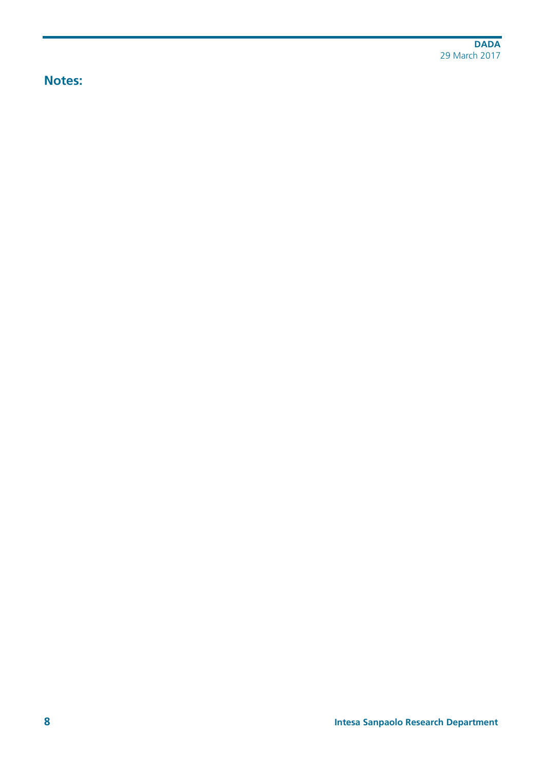**Notes:**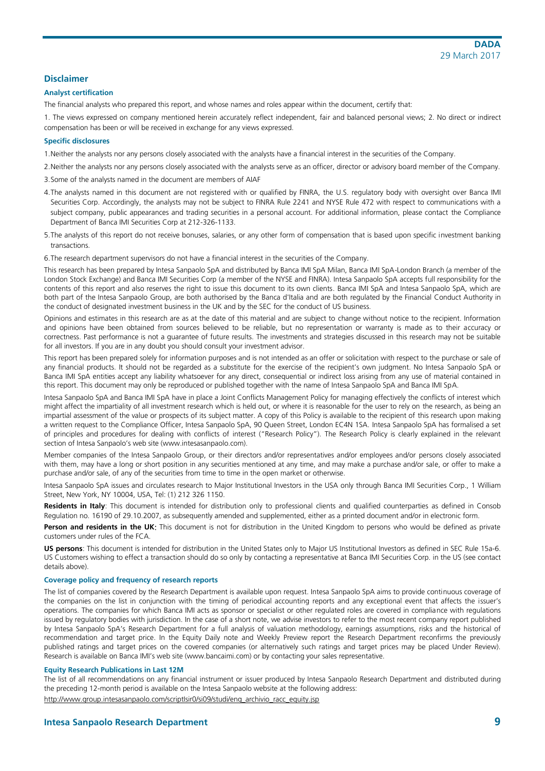# **Disclaimer**

#### **Analyst certification**

The financial analysts who prepared this report, and whose names and roles appear within the document, certify that:

1. The views expressed on company mentioned herein accurately reflect independent, fair and balanced personal views; 2. No direct or indirect compensation has been or will be received in exchange for any views expressed.

#### **Specific disclosures**

1.Neither the analysts nor any persons closely associated with the analysts have a financial interest in the securities of the Company.

- 2.Neither the analysts nor any persons closely associated with the analysts serve as an officer, director or advisory board member of the Company.
- 3.Some of the analysts named in the document are members of AIAF
- 4.The analysts named in this document are not registered with or qualified by FINRA, the U.S. regulatory body with oversight over Banca IMI Securities Corp. Accordingly, the analysts may not be subject to FINRA Rule 2241 and NYSE Rule 472 with respect to communications with a subject company, public appearances and trading securities in a personal account. For additional information, please contact the Compliance Department of Banca IMI Securities Corp at 212-326-1133.
- 5.The analysts of this report do not receive bonuses, salaries, or any other form of compensation that is based upon specific investment banking transactions.
- 6.The research department supervisors do not have a financial interest in the securities of the Company.

This research has been prepared by Intesa Sanpaolo SpA and distributed by Banca IMI SpA Milan, Banca IMI SpA-London Branch (a member of the London Stock Exchange) and Banca IMI Securities Corp (a member of the NYSE and FINRA). Intesa Sanpaolo SpA accepts full responsibility for the contents of this report and also reserves the right to issue this document to its own clients. Banca IMI SpA and Intesa Sanpaolo SpA, which are both part of the Intesa Sanpaolo Group, are both authorised by the Banca d'Italia and are both regulated by the Financial Conduct Authority in the conduct of designated investment business in the UK and by the SEC for the conduct of US business.

Opinions and estimates in this research are as at the date of this material and are subject to change without notice to the recipient. Information and opinions have been obtained from sources believed to be reliable, but no representation or warranty is made as to their accuracy or correctness. Past performance is not a guarantee of future results. The investments and strategies discussed in this research may not be suitable for all investors. If you are in any doubt you should consult your investment advisor.

This report has been prepared solely for information purposes and is not intended as an offer or solicitation with respect to the purchase or sale of any financial products. It should not be regarded as a substitute for the exercise of the recipient's own judgment. No Intesa Sanpaolo SpA or Banca IMI SpA entities accept any liability whatsoever for any direct, consequential or indirect loss arising from any use of material contained in this report. This document may only be reproduced or published together with the name of Intesa Sanpaolo SpA and Banca IMI SpA.

Intesa Sanpaolo SpA and Banca IMI SpA have in place a Joint Conflicts Management Policy for managing effectively the conflicts of interest which might affect the impartiality of all investment research which is held out, or where it is reasonable for the user to rely on the research, as being an impartial assessment of the value or prospects of its subject matter. A copy of this Policy is available to the recipient of this research upon making a written request to the Compliance Officer, Intesa Sanpaolo SpA, 90 Queen Street, London EC4N 1SA. Intesa Sanpaolo SpA has formalised a set of principles and procedures for dealing with conflicts of interest ("Research Policy"). The Research Policy is clearly explained in the relevant section of Intesa Sanpaolo's web site (www.intesasanpaolo.com).

Member companies of the Intesa Sanpaolo Group, or their directors and/or representatives and/or employees and/or persons closely associated with them, may have a long or short position in any securities mentioned at any time, and may make a purchase and/or sale, or offer to make a purchase and/or sale, of any of the securities from time to time in the open market or otherwise.

Intesa Sanpaolo SpA issues and circulates research to Major Institutional Investors in the USA only through Banca IMI Securities Corp., 1 William Street, New York, NY 10004, USA, Tel: (1) 212 326 1150.

**Residents in Italy**: This document is intended for distribution only to professional clients and qualified counterparties as defined in Consob Regulation no. 16190 of 29.10.2007, as subsequently amended and supplemented, either as a printed document and/or in electronic form.

**Person and residents in the UK:** This document is not for distribution in the United Kingdom to persons who would be defined as private customers under rules of the FCA.

**US persons**: This document is intended for distribution in the United States only to Major US Institutional Investors as defined in SEC Rule 15a-6. US Customers wishing to effect a transaction should do so only by contacting a representative at Banca IMI Securities Corp. in the US (see contact details above).

#### **Coverage policy and frequency of research reports**

The list of companies covered by the Research Department is available upon request. Intesa Sanpaolo SpA aims to provide continuous coverage of the companies on the list in conjunction with the timing of periodical accounting reports and any exceptional event that affects the issuer's operations. The companies for which Banca IMI acts as sponsor or specialist or other regulated roles are covered in compliance with regulations issued by regulatory bodies with jurisdiction. In the case of a short note, we advise investors to refer to the most recent company report published by Intesa Sanpaolo SpA's Research Department for a full analysis of valuation methodology, earnings assumptions, risks and the historical of recommendation and target price. In the Equity Daily note and Weekly Preview report the Research Department reconfirms the previously published ratings and target prices on the covered companies (or alternatively such ratings and target prices may be placed Under Review). Research is available on Banca IMI's web site (www.bancaimi.com) or by contacting your sales representative.

#### **Equity Research Publications in Last 12M**

The list of all recommendations on any financial instrument or issuer produced by Intesa Sanpaolo Research Department and distributed during the preceding 12-month period is available on the Intesa Sanpaolo website at the following address:

http://www.group.intesasanpaolo.com/scriptIsir0/si09/studi/eng\_archivio\_racc\_equity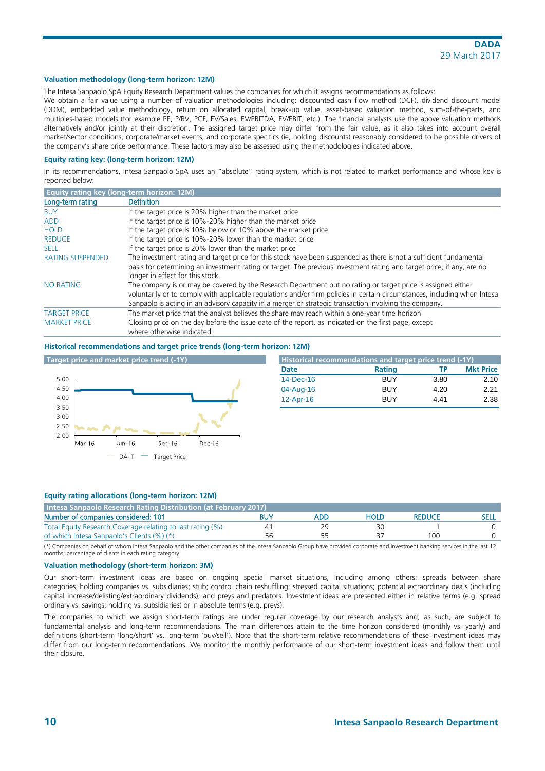#### **Valuation methodology (long-term horizon: 12M)**

The Intesa Sanpaolo SpA Equity Research Department values the companies for which it assigns recommendations as follows:

We obtain a fair value using a number of valuation methodologies including: discounted cash flow method (DCF), dividend discount model (DDM), embedded value methodology, return on allocated capital, break-up value, asset-based valuation method, sum-of-the-parts, and multiples-based models (for example PE, P/BV, PCF, EV/Sales, EV/EBITDA, EV/EBIT, etc.). The financial analysts use the above valuation methods alternatively and/or jointly at their discretion. The assigned target price may differ from the fair value, as it also takes into account overall market/sector conditions, corporate/market events, and corporate specifics (ie, holding discounts) reasonably considered to be possible drivers of the company's share price performance. These factors may also be assessed using the methodologies indicated above.

#### **Equity rating key: (long-term horizon: 12M)**

In its recommendations, Intesa Sanpaolo SpA uses an "absolute" rating system, which is not related to market performance and whose key is reported below:

| <b>Equity rating key (long-term horizon: 12M)</b> |                                                                                                                                                                                                                                           |
|---------------------------------------------------|-------------------------------------------------------------------------------------------------------------------------------------------------------------------------------------------------------------------------------------------|
| Long-term rating                                  | <b>Definition</b>                                                                                                                                                                                                                         |
| <b>BUY</b>                                        | If the target price is 20% higher than the market price                                                                                                                                                                                   |
| <b>ADD</b>                                        | If the target price is 10%-20% higher than the market price                                                                                                                                                                               |
| <b>HOLD</b>                                       | If the target price is 10% below or 10% above the market price                                                                                                                                                                            |
| <b>REDUCE</b>                                     | If the target price is 10%-20% lower than the market price                                                                                                                                                                                |
| <b>SELL</b>                                       | If the target price is 20% lower than the market price                                                                                                                                                                                    |
| <b>RATING SUSPENDED</b>                           | The investment rating and target price for this stock have been suspended as there is not a sufficient fundamental                                                                                                                        |
|                                                   | basis for determining an investment rating or target. The previous investment rating and target price, if any, are no<br>longer in effect for this stock.                                                                                 |
| <b>NO RATING</b>                                  | The company is or may be covered by the Research Department but no rating or target price is assigned either<br>voluntarily or to comply with applicable regulations and/or firm policies in certain circumstances, including when Intesa |
|                                                   | Sanpaolo is acting in an advisory capacity in a merger or strategic transaction involving the company.                                                                                                                                    |
| <b>TARGET PRICE</b>                               | The market price that the analyst believes the share may reach within a one-year time horizon                                                                                                                                             |
| <b>MARKET PRICE</b>                               | Closing price on the day before the issue date of the report, as indicated on the first page, except<br>where otherwise indicated                                                                                                         |

#### **Historical recommendations and target price trends (long-term horizon: 12M)**



| Historical recommendations and target price trend (-1Y) |               |      |                  |  |  |  |  |
|---------------------------------------------------------|---------------|------|------------------|--|--|--|--|
| Date                                                    | <b>Rating</b> | ТP   | <b>Mkt Price</b> |  |  |  |  |
| $14$ -Dec-16                                            | <b>BUY</b>    | 3.80 | 2.10             |  |  |  |  |
| 04-Aug-16                                               | <b>BUY</b>    | 4.20 | 2.21             |  |  |  |  |
| $12$ -Apr-16                                            | <b>RUY</b>    | 4.41 | 2.38             |  |  |  |  |

### **Equity rating allocations (long-term horizon: 12M)**

| Intesa Sanpaolo Research Rating Distribution (at February 2017) |    |     |      |               |  |  |  |  |
|-----------------------------------------------------------------|----|-----|------|---------------|--|--|--|--|
| Number of companies considered: 101                             |    | ADD | HOLD | <b>REDUCE</b> |  |  |  |  |
| Total Equity Research Coverage relating to last rating (%)      |    | 29  |      |               |  |  |  |  |
| of which Intesa Sanpaolo's Clients (%) (*)                      | 56 |     |      | 100           |  |  |  |  |

(\*) Companies on behalf of whom Intesa Sanpaolo and the other companies of the Intesa Sanpaolo Group have provided corporate and Investment banking services in the last 12 months; percentage of clients in each rating category

#### **Valuation methodology (short-term horizon: 3M)**

Our short-term investment ideas are based on ongoing special market situations, including among others: spreads between share categories; holding companies vs. subsidiaries; stub; control chain reshuffling; stressed capital situations; potential extraordinary deals (including capital increase/delisting/extraordinary dividends); and preys and predators. Investment ideas are presented either in relative terms (e.g. spread ordinary vs. savings; holding vs. subsidiaries) or in absolute terms (e.g. preys).

The companies to which we assign short-term ratings are under regular coverage by our research analysts and, as such, are subject to fundamental analysis and long-term recommendations. The main differences attain to the time horizon considered (monthly vs. yearly) and definitions (short-term 'long/short' vs. long-term 'buy/sell'). Note that the short-term relative recommendations of these investment ideas may differ from our long-term recommendations. We monitor the monthly performance of our short-term investment ideas and follow them until their closure.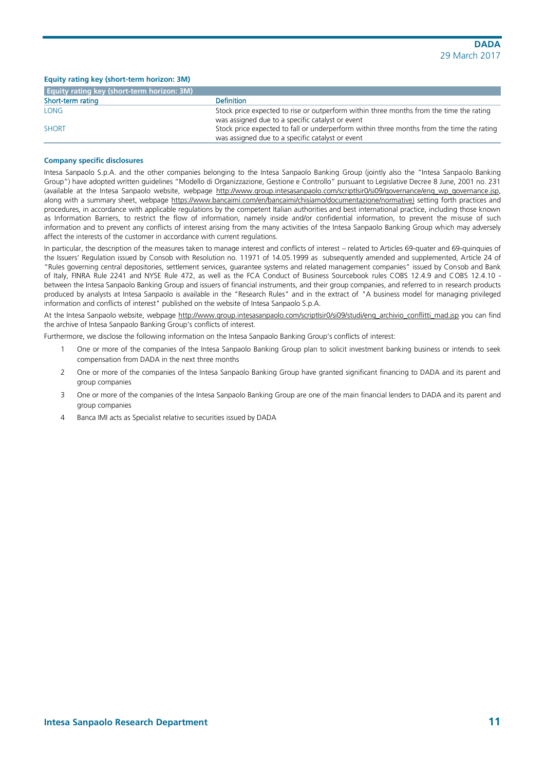### **Equity rating key (short-term horizon: 3M)**

| <b>Equity rating key (short-term horizon: 3M)</b> |                                                                                                                                               |
|---------------------------------------------------|-----------------------------------------------------------------------------------------------------------------------------------------------|
| Short-term rating                                 | <b>Definition</b>                                                                                                                             |
| <b>LONG</b>                                       | Stock price expected to rise or outperform within three months from the time the rating<br>was assigned due to a specific catalyst or event   |
| <b>SHORT</b>                                      | Stock price expected to fall or underperform within three months from the time the rating<br>was assigned due to a specific catalyst or event |

#### **Company specific disclosures**

Intesa Sanpaolo S.p.A. and the other companies belonging to the Intesa Sanpaolo Banking Group (jointly also the "Intesa Sanpaolo Banking Group") have adopted written guidelines "Modello di Organizzazione, Gestione e Controllo" pursuant to Legislative Decree 8 June, 2001 no. 231 (available at the Intesa Sanpaolo website, webpage [http://www.group.intesasanpaolo.com/scriptIsir0/si09/governance/eng\\_wp\\_governance.jsp,](http://www.group.intesasanpaolo.com/scriptIsir0/si09/governance/eng_wp_governance.jsp) along with a summary sheet, webpage [https://www.bancaimi.com/en/bancaimi/chisiamo/documentazione/normative\)](https://www.bancaimi.com/en/bancaimi/chisiamo/documentazione/normative) setting forth practices and procedures, in accordance with applicable regulations by the competent Italian authorities and best international practice, including those known as Information Barriers, to restrict the flow of information, namely inside and/or confidential information, to prevent the misuse of such information and to prevent any conflicts of interest arising from the many activities of the Intesa Sanpaolo Banking Group which may adversely affect the interests of the customer in accordance with current regulations.

In particular, the description of the measures taken to manage interest and conflicts of interest – related to Articles 69-quater and 69-quinquies of the Issuers' Regulation issued by Consob with Resolution no. 11971 of 14.05.1999 as subsequently amended and supplemented, Article 24 of "Rules governing central depositories, settlement services, guarantee systems and related management companies" issued by Consob and Bank of Italy, FINRA Rule 2241 and NYSE Rule 472, as well as the FCA Conduct of Business Sourcebook rules COBS 12.4.9 and COBS 12.4.10 between the Intesa Sanpaolo Banking Group and issuers of financial instruments, and their group companies, and referred to in research products produced by analysts at Intesa Sanpaolo is available in the "Research Rules" and in the extract of "A business model for managing privileged information and conflicts of interest" published on the website of Intesa Sanpaolo S.p.A.

At the Intesa Sanpaolo website, webpage [http://www.group.intesasanpaolo.com/scriptIsir0/si09/studi/eng\\_archivio\\_conflitti\\_mad.jsp](http://www.group.intesasanpaolo.com/scriptIsir0/si09/studi/eng_archivio_conflitti.jsp) you can find the archive of Intesa Sanpaolo Banking Group's conflicts of interest.

Furthermore, we disclose the following information on the Intesa Sanpaolo Banking Group's conflicts of interest:

- 1 One or more of the companies of the Intesa Sanpaolo Banking Group plan to solicit investment banking business or intends to seek compensation from DADA in the next three months
- 2 One or more of the companies of the Intesa Sanpaolo Banking Group have granted significant financing to DADA and its parent and group companies
- 3 One or more of the companies of the Intesa Sanpaolo Banking Group are one of the main financial lenders to DADA and its parent and group companies
- 4 Banca IMI acts as Specialist relative to securities issued by DADA